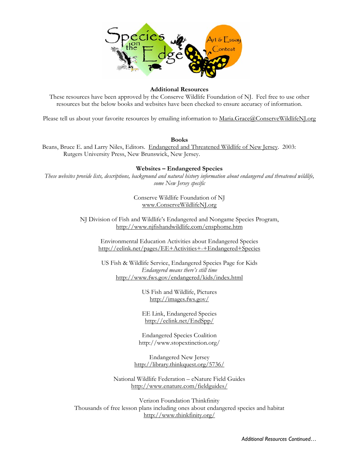

## **Additional Resources**

These resources have been approved by the Conserve Wildlife Foundation of NJ. Feel free to use other resources but the below books and websites have been checked to ensure accuracy of information.

Please tell us about your favorite resources by emailing information to Maria.Grace@ConserveWildlifeNJ.org

## **Books**

Beans, Bruce E. and Larry Niles, Editors. Endangered and Threatened Wildlife of New Jersey. 2003: Rutgers University Press, New Brunswick, New Jersey.

## **Websites – Endangered Species**

*These websites provide lists, descriptions, background and natural history information about endangered and threatened wildlife, some New Jersey specific* 

> Conserve Wildlife Foundation of NJ www.ConserveWildlifeNJ.org

NJ Division of Fish and Wildlife's Endangered and Nongame Species Program, http://www.njfishandwildlife.com/ensphome.htm

Environmental Education Activities about Endangered Species http://eelink.net/pages/EE+Activities+-+Endangered+Species

US Fish & Wildlife Service, Endangered Species Page for Kids *Endangered means there's still time*  http://www.fws.gov/endangered/kids/index.html

> US Fish and Wildlife, Pictures http://images.fws.gov/

> EE Link, Endangered Species http://eelink.net/EndSpp/

Endangered Species Coalition http://www.stopextinction.org/

Endangered New Jersey http://library.thinkquest.org/5736/

National Wildlife Federation – eNature Field Guides http://www.enature.com/fieldguides/

Verizon Foundation Thinkfinity Thousands of free lesson plans including ones about endangered species and habitat http://www.thinkfinity.org/